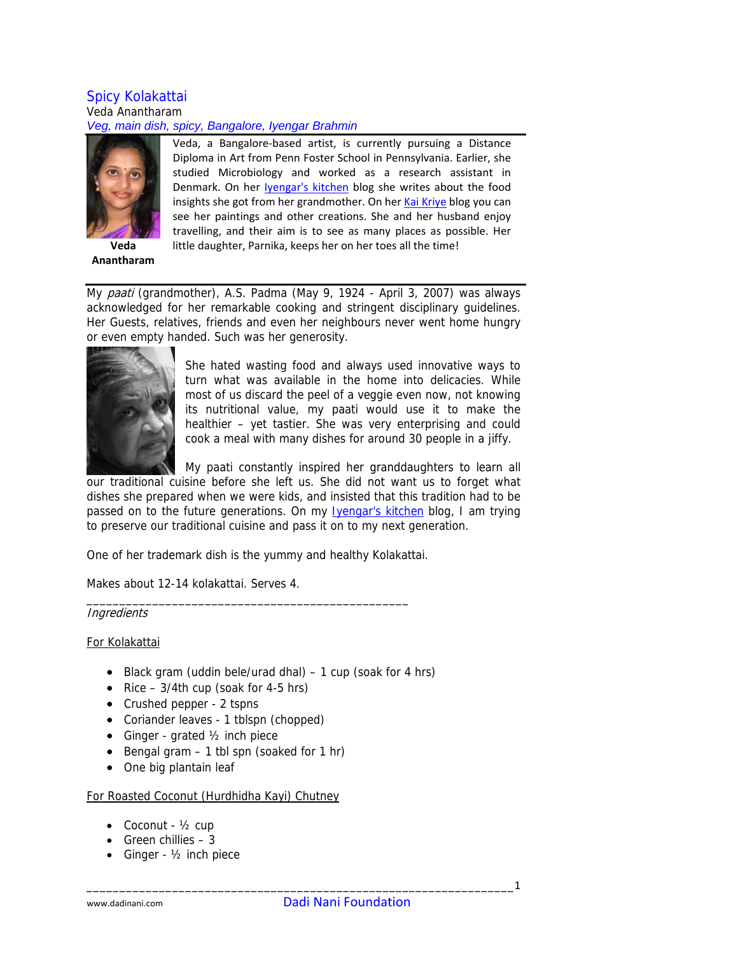#### Spicy Kolakattai Veda Anantharam *Veg, main dish, spicy, Bangalore, Iyengar Brahmin*



**Anantharam**

Veda, a Bangalore‐based artist, is currently pursuing a Distance Diploma in Art from Penn Foster School in Pennsylvania. Earlier, she studied Microbiology and worked as a research assistant in Denmark. On her [Iyengar's](http://iyengarskitchen.blogspot.com/) kitchen blog she writes about the food insights she got from her grandmother. On her Kai [Kriye](http://kaikriye.blogspot.com/) blog you can see her paintings and other creations. She and her husband enjoy travelling, and their aim is to see as many places as possible. Her little daughter, Parnika, keeps her on her toes all the time!

My paati (grandmother), A.S. Padma (May 9, 1924 - April 3, 2007) was always acknowledged for her remarkable cooking and stringent disciplinary guidelines. Her Guests, relatives, friends and even her neighbours never went home hungry or even empty handed. Such was her generosity.



She hated wasting food and always used innovative ways to turn what was available in the home into delicacies. While most of us discard the peel of a veggie even now, not knowing its nutritional value, my paati would use it to make the healthier – yet tastier. She was very enterprising and could cook a meal with many dishes for around 30 people in a jiffy.

My paati constantly inspired her granddaughters to learn all our traditional cuisine before she left us. She did not want us to forget what dishes she prepared when we were kids, and insisted that this tradition had to be passed on to the future generations. On my **Ivengar's kitchen** blog, I am trying to preserve our traditional cuisine and pass it on to my next generation.

One of her trademark dish is the yummy and healthy Kolakattai.

\_\_\_\_\_\_\_\_\_\_\_\_\_\_\_\_\_\_\_\_\_\_\_\_\_\_\_\_\_\_\_\_\_\_\_\_\_\_\_\_\_\_\_\_\_\_\_\_\_

Makes about 12-14 kolakattai. Serves 4.

# **Ingredients**

#### For Kolakattai

- Black gram (uddin bele/urad dhal)  $-1$  cup (soak for 4 hrs)
- Rice  $-3/4$ th cup (soak for 4-5 hrs)
- Crushed pepper 2 tspns
- Coriander leaves 1 tblspn (chopped)
- Ginger grated 1/2 inch piece
- Bengal gram 1 tbl spn (soaked for 1 hr)
- One big plantain leaf

#### For Roasted Coconut (Hurdhidha Kayi) Chutney

- Coconut  $\frac{1}{2}$  cup
- Green chillies  $-3$
- Ginger 1/2 inch piece

\_\_\_\_\_\_\_\_\_\_\_\_\_\_\_\_\_\_\_\_\_\_\_\_\_\_\_\_\_\_\_\_\_\_\_\_\_\_\_\_\_\_\_\_\_\_\_\_\_\_\_\_\_\_\_\_\_\_\_\_\_\_\_\_\_1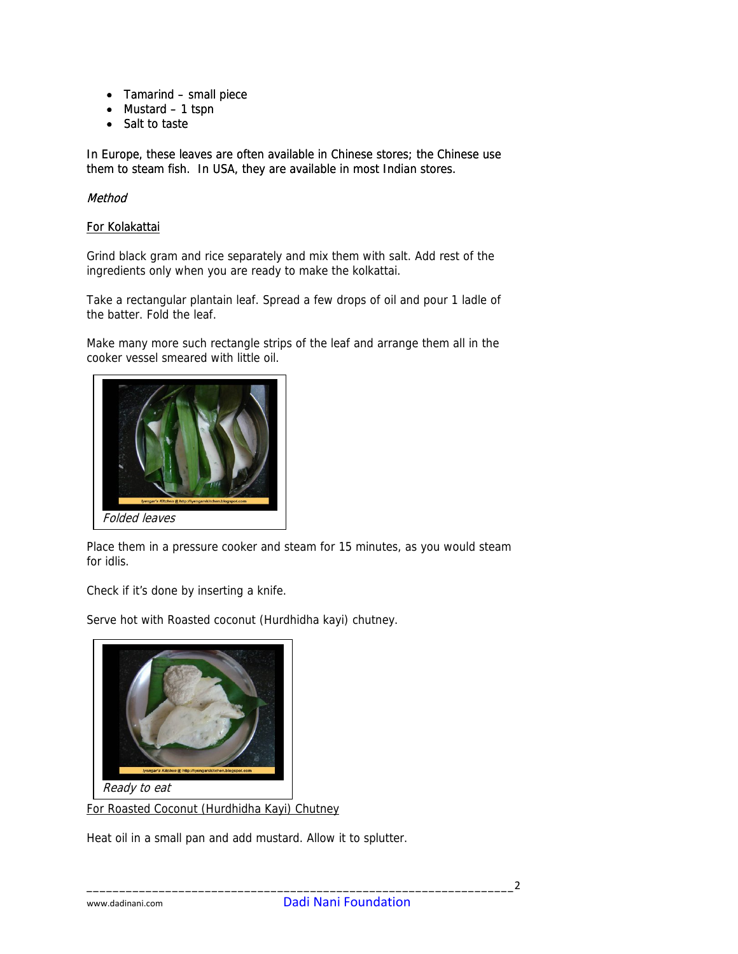- Tamarind small piece
- Mustard 1 tspn
- Salt to taste

In Europe, these leaves are often available in Chinese stores; the Chinese use them to steam fish. In USA, they are available in most Indian stores.

## Method

### For Kolakattai

Grind black gram and rice separately and mix them with salt. Add rest of the ingredients only when you are ready to make the kolkattai.

Take a rectangular plantain leaf. Spread a few drops of oil and pour 1 ladle of the batter. Fold the leaf.

Make many more such rectangle strips of the leaf and arrange them all in the cooker vessel smeared with little oil.



Place them in a pressure cooker and steam for 15 minutes, as you would steam for idlis.

Check if it's done by inserting a knife.

Serve hot with Roasted coconut (Hurdhidha kayi) chutney.



For Roasted Coconut (Hurdhidha Kayi) Chutney

Heat oil in a small pan and add mustard. Allow it to splutter.